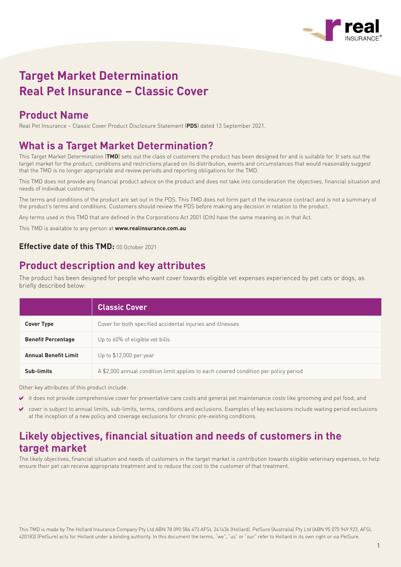

# **Target Market Determination Real Pet Insurance – Classic Cover**

### **Product Name**

Real Pet Insurance – Classic Cover Product Disclosure Statement (**PDS**) dated 13 September 2021.

### **What is a Target Market Determination?**

This Target Market Determination (**TMD**) sets out the class of customers the product has been designed for and is suitable for. It sets out the target market for the product, conditions and restrictions placed on its distribution, events and circumstances that would reasonably suggest that the TMD is no longer appropriate and review periods and reporting obligations for the TMD.

This TMD does not provide any financial product advice on the product and does not take into consideration the objectives, financial situation and needs of individual customers.

The terms and conditions of the product are set out in the PDS. This TMD does not form part of the insurance contract and is not a summary of the product's terms and conditions. Customers should review the PDS before making any decision in relation to the product.

Any terms used in this TMD that are defined in the Corporations Act 2001 (Cth) have the same meaning as in that Act.

This TMD is available to any person at **www.realinsurance.com.au**

#### **Effective date of this TMD:** 05 October 2021

### **Product description and key attributes**

The product has been designed for people who want cover towards eligible vet expenses experienced by pet cats or dogs, as briefly described below:

|                             | <b>Classic Cover</b>                                                                 |
|-----------------------------|--------------------------------------------------------------------------------------|
| <b>Cover Type</b>           | Cover for both specified accidental injuries and illnesses                           |
| <b>Benefit Percentage</b>   | Up to 60% of eligible vet bills                                                      |
| <b>Annual Benefit Limit</b> | Up to \$12,000 per year                                                              |
| Sub-limits                  | A \$2,000 annual condition limit applies to each covered condition per policy period |

Other key attributes of this product include:

- it does not provide comprehensive cover for preventative care costs and general pet maintenance costs like grooming and pet food; and
- cover is subject to annual limits, sub-limits, terms, conditions and exclusions. Examples of key exclusions include waiting period exclusions at the inception of a new policy and coverage exclusions for chronic pre-existing conditions.

# **Likely objectives, financial situation and needs of customers in the target market**

The likely objectives, financial situation and needs of customers in the target market is contribution towards eligible veterinary expenses, to help ensure their pet can receive appropriate treatment and to reduce the cost to the customer of that treatment.

This TMD is made by The Hollard Insurance Company Pty Ltd ABN 78 090 584 473 AFSL 241436 (Hollard). PetSure (Australia) Pty Ltd (ABN 95 075 949 923, AFSL 420183) (PetSure) acts for Hollard under a binding authority. In this document the terms, "we", "us" or "our" refer to Hollard in its own right or via PetSure.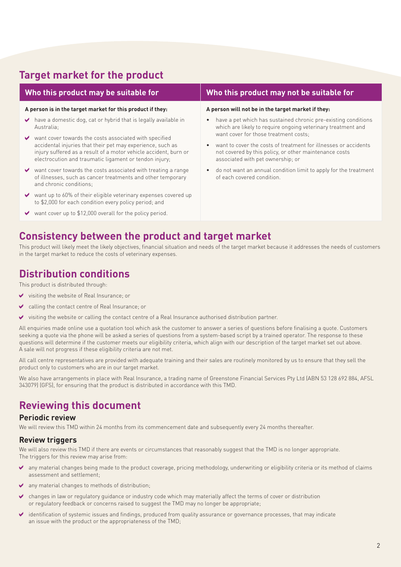### **Target market for the product**

| Who this product may be suitable for<br>A person is in the target market for this product if they: |                                                                                                                                                                                                                                                    | Who this product may not be suitable for                                                                                                                                                                |  |
|----------------------------------------------------------------------------------------------------|----------------------------------------------------------------------------------------------------------------------------------------------------------------------------------------------------------------------------------------------------|---------------------------------------------------------------------------------------------------------------------------------------------------------------------------------------------------------|--|
|                                                                                                    |                                                                                                                                                                                                                                                    | A person will not be in the target market if they:                                                                                                                                                      |  |
| $\vee$                                                                                             | have a domestic dog, cat or hybrid that is legally available in<br>Australia;                                                                                                                                                                      | have a pet which has sustained chronic pre-existing conditions<br>which are likely to require ongoing veterinary treatment and                                                                          |  |
|                                                                                                    | want cover towards the costs associated with specified<br>accidental injuries that their pet may experience, such as<br>injury suffered as a result of a motor vehicle accident, burn or<br>electrocution and traumatic ligament or tendon injury; | want cover for those treatment costs;<br>want to cover the costs of treatment for illnesses or accidents<br>not covered by this policy, or other maintenance costs<br>associated with pet ownership; or |  |
|                                                                                                    | $\vee$ want cover towards the costs associated with treating a range<br>of illnesses, such as cancer treatments and other temporary<br>and chronic conditions;                                                                                     | do not want an annual condition limit to apply for the treatment<br>of each covered condition.                                                                                                          |  |
| $\vee$                                                                                             | want up to 60% of their eligible veterinary expenses covered up<br>to \$2,000 for each condition every policy period; and                                                                                                                          |                                                                                                                                                                                                         |  |
|                                                                                                    | $\vee$ want cover up to \$12,000 overall for the policy period.                                                                                                                                                                                    |                                                                                                                                                                                                         |  |

### **Consistency between the product and target market**

This product will likely meet the likely objectives, financial situation and needs of the target market because it addresses the needs of customers in the target market to reduce the costs of veterinary expenses.

### **Distribution conditions**

This product is distributed through:

- visiting the website of Real Insurance; or
- calling the contact centre of Real Insurance; or
- visiting the website or calling the contact centre of a Real Insurance authorised distribution partner.

All enquiries made online use a quotation tool which ask the customer to answer a series of questions before finalising a quote. Customers seeking a quote via the phone will be asked a series of questions from a system-based script by a trained operator. The response to these questions will determine if the customer meets our eligibility criteria, which align with our description of the target market set out above. A sale will not progress if these eligibility criteria are not met.

All call centre representatives are provided with adequate training and their sales are routinely monitored by us to ensure that they sell the product only to customers who are in our target market.

We also have arrangements in place with Real Insurance, a trading name of Greenstone Financial Services Pty Ltd (ABN 53 128 692 884, AFSL 343079) (GFS), for ensuring that the product is distributed in accordance with this TMD.

# **Reviewing this document**

#### **Periodic review**

We will review this TMD within 24 months from its commencement date and subsequently every 24 months thereafter.

#### **Review triggers**

We will also review this TMD if there are events or circumstances that reasonably suggest that the TMD is no longer appropriate. The triggers for this review may arise from:

- any material changes being made to the product coverage, pricing methodology, underwriting or eligibility criteria or its method of claims assessment and settlement;
- any material changes to methods of distribution;
- changes in law or regulatory guidance or industry code which may materially affect the terms of cover or distribution or regulatory feedback or concerns raised to suggest the TMD may no longer be appropriate;
- identification of systemic issues and findings, produced from quality assurance or governance processes, that may indicate an issue with the product or the appropriateness of the TMD;